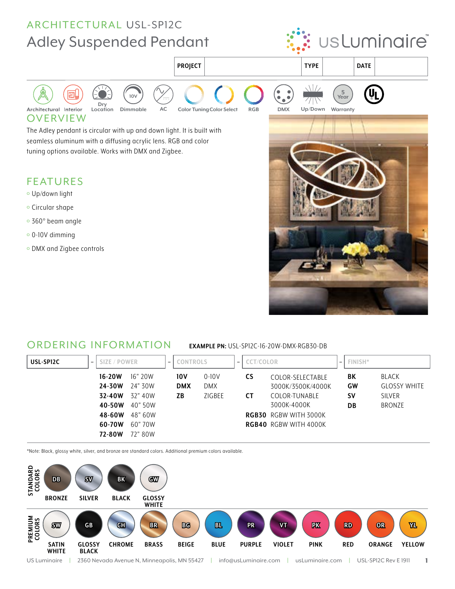

### ORDERING INFORMATION **EXAMPLE PN:** USL-SP12C-16-20W-DMX-RGB30-DB

| USL-SP12C<br>$-$ | SIZE / POWER       |                    | CONTROLS<br>$\qquad \qquad$ |                         | $\overline{\phantom{0}}$ | <b>CCT/COLOR</b>                                             |          |                                |
|------------------|--------------------|--------------------|-----------------------------|-------------------------|--------------------------|--------------------------------------------------------------|----------|--------------------------------|
|                  | $16-20W$<br>24-30W | 16"20W<br>24" 30W  | 10V<br><b>DMX</b>           | $0 - 10V$<br><b>DMX</b> | <b>CS</b>                | COLOR-SELECTABLE<br>3000K/3500K/4000K                        | BK<br>GW | BLACK<br><b>GLOSSY WHITE</b>   |
|                  | 32-40W<br>40-50W   | 32" 40W<br>40" 50W | ΖB                          | ZIGBEE                  | <b>CT</b>                | COLOR-TUNABLE<br>3000K-4000K                                 | Sν<br>DB | <b>SILVER</b><br><b>BRONZE</b> |
|                  | 48-60W<br>60-70W   | 48" 60W<br>60" 70W |                             |                         |                          | <b>RGB30</b> RGBW WITH 3000K<br><b>RGB40 RGBW WITH 4000K</b> |          |                                |
|                  | 72-80W             | 72" 80W            |                             |                         |                          |                                                              |          |                                |

\*Note: Black, glossy white, silver, and bronze are standard colors. Additional premium colors available.

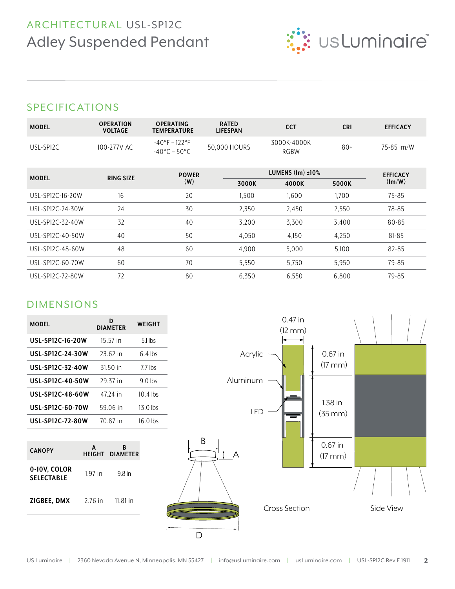

## SPECIFICATIONS

| <b>MODEL</b>     | <b>OPERATION</b><br><b>VOLTAGE</b> | <b>OPERATING</b><br><b>TEMPERATURE</b>                       | <b>RATED</b><br><b>LIFESPAN</b> | <b>CCT</b>                    | <b>CRI</b>      | <b>EFFICACY</b>        |
|------------------|------------------------------------|--------------------------------------------------------------|---------------------------------|-------------------------------|-----------------|------------------------|
| USL-SPI2C        | 100-277V AC                        | $-40^{\circ}$ F – 122°F<br>$-40^{\circ}$ C – 50 $^{\circ}$ C | 50,000 HOURS                    | 3000K-4000K<br><b>RGBW</b>    | $80+$           | 75-85 lm/W             |
| <b>MODEL</b>     |                                    | <b>POWER</b>                                                 |                                 | LUMENS $(\text{Im}) \pm 10\%$ | <b>EFFICACY</b> |                        |
|                  | <b>RING SIZE</b>                   | (W)                                                          | 3000K                           | 4000K                         | 5000K           | $(\text{Im}/\text{W})$ |
| USL-SP12C-16-20W | 16                                 | 20                                                           | 1,500                           | 1,600                         | 1,700           | $75 - 85$              |
| USL-SP12C-24-30W | 24                                 | 30                                                           | 2,350                           | 2,450                         | 2,550           | 78-85                  |
| USL-SP12C-32-40W | 32                                 | 40                                                           | 3,200                           | 3,300                         | 3,400           | 80-85                  |
| USL-SP12C-40-50W | 40                                 | 50                                                           | 4,050                           | 4,150                         | 4,250           | $81 - 85$              |
| USL-SPI2C-48-60W | 48                                 | 60                                                           | 4,900                           | 5,000                         | 5,100           | 82-85                  |
| USL-SPI2C-60-70W | 60                                 | 70                                                           | 5,550                           | 5,750                         | 5,950           | 79-85                  |
| USL-SPI2C-72-80W | 72                                 | 80                                                           | 6,350                           | 6,550                         | 6,800           | 79-85                  |

# DIMENSIONS

| <b>MODEL</b>            | D<br><b>DIAMETER</b> | WEIGHT     |
|-------------------------|----------------------|------------|
| USL-SP12C-16-20W        | 15 57 in             | $5.1$ lbs  |
| <b>USL-SP12C-24-30W</b> | 23.62 in             | $64$ lbs   |
| <b>USL-SP12C-32-40W</b> | 31 50 in             | 77 lbs     |
| <b>USL-SP12C-40-50W</b> | 29 37 in             | $90$ lbs   |
| <b>USL-SP12C-48-60W</b> | 47 74 in             | $10.4$ lbs |
| USL-SP12C-60-70W        | 59 06 in             | $13.0$ lbs |
| <b>USL-SP12C-72-80W</b> | 70 87 in             |            |

| <b>CANOPY</b>                     | A         | R<br><b>HEIGHT DIAMETER</b> |  |  |  |
|-----------------------------------|-----------|-----------------------------|--|--|--|
| 0-10V, COLOR<br><b>SELECTABLE</b> | $1.97$ in | 98 in                       |  |  |  |
| ZIGBEE, DMX                       | 2 76 in   | $11.81$ in                  |  |  |  |